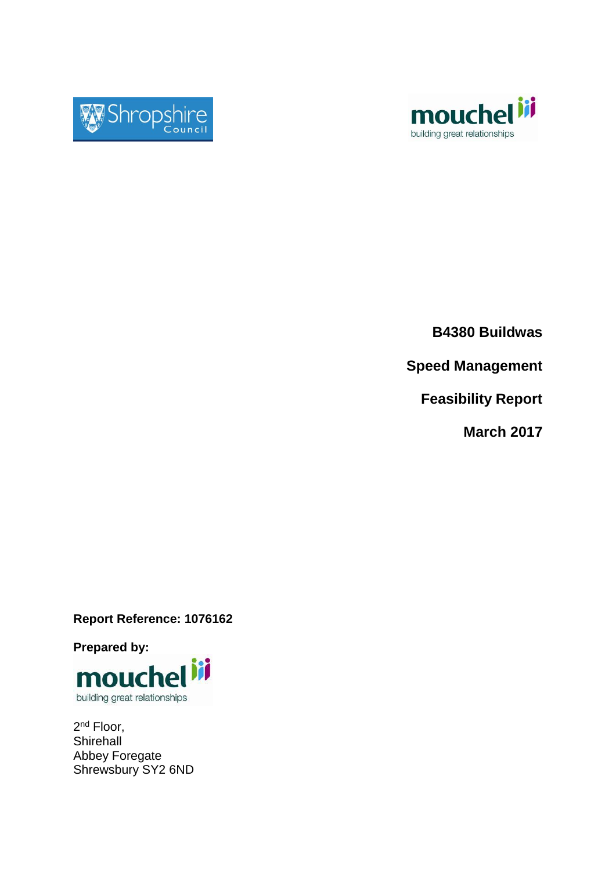



**B4380 Buildwas**

**Speed Management**

**Feasibility Report**

**March 2017**

**Report Reference: 1076162**

**Prepared by:**



2<sup>nd</sup> Floor, **Shirehall** Abbey Foregate Shrewsbury SY2 6ND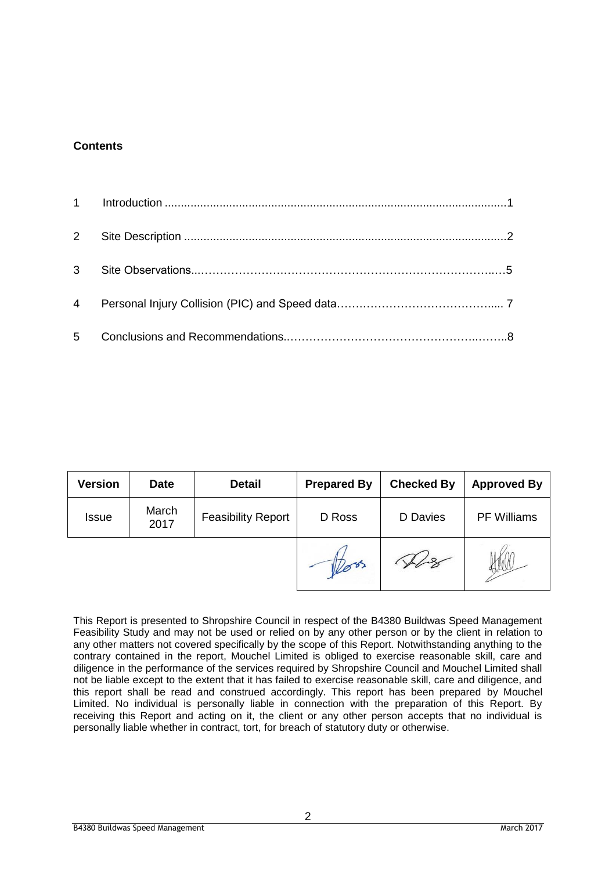#### **Contents**

| <b>Version</b> | <b>Date</b>                                | <b>Detail</b> | <b>Prepared By</b> | <b>Checked By</b> | <b>Approved By</b> |
|----------------|--------------------------------------------|---------------|--------------------|-------------------|--------------------|
| <b>Issue</b>   | March<br><b>Feasibility Report</b><br>2017 |               | D Ross             | D Davies          | <b>PF Williams</b> |
|                |                                            |               | less.              |                   |                    |

This Report is presented to Shropshire Council in respect of the B4380 Buildwas Speed Management Feasibility Study and may not be used or relied on by any other person or by the client in relation to any other matters not covered specifically by the scope of this Report. Notwithstanding anything to the contrary contained in the report, Mouchel Limited is obliged to exercise reasonable skill, care and diligence in the performance of the services required by Shropshire Council and Mouchel Limited shall not be liable except to the extent that it has failed to exercise reasonable skill, care and diligence, and this report shall be read and construed accordingly. This report has been prepared by Mouchel Limited. No individual is personally liable in connection with the preparation of this Report. By receiving this Report and acting on it, the client or any other person accepts that no individual is personally liable whether in contract, tort, for breach of statutory duty or otherwise.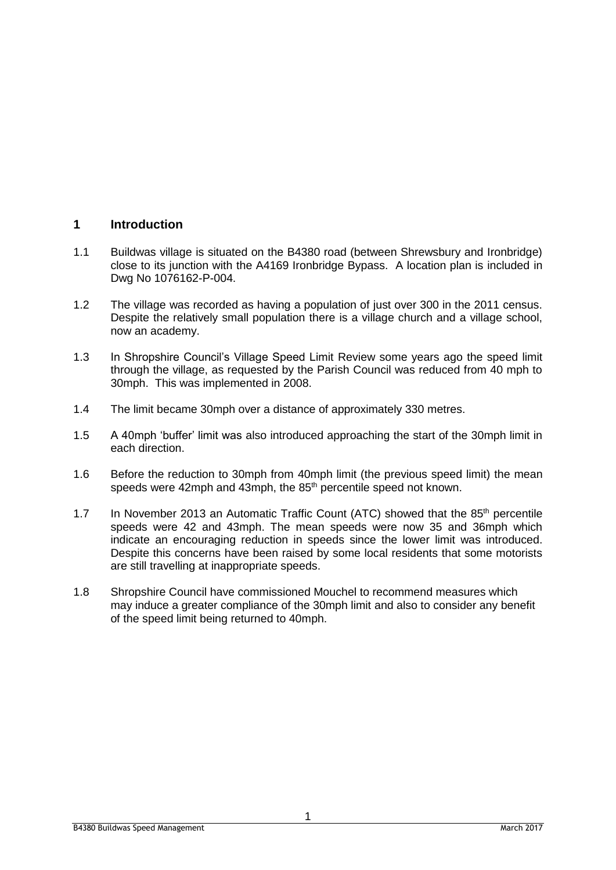## **1 Introduction**

- 1.1 Buildwas village is situated on the B4380 road (between Shrewsbury and Ironbridge) close to its junction with the A4169 Ironbridge Bypass. A location plan is included in Dwg No 1076162-P-004.
- 1.2 The village was recorded as having a population of just over 300 in the 2011 census. Despite the relatively small population there is a village church and a village school, now an academy.
- 1.3 In Shropshire Council's Village Speed Limit Review some years ago the speed limit through the village, as requested by the Parish Council was reduced from 40 mph to 30mph. This was implemented in 2008.
- 1.4 The limit became 30mph over a distance of approximately 330 metres.
- 1.5 A 40mph 'buffer' limit was also introduced approaching the start of the 30mph limit in each direction.
- 1.6 Before the reduction to 30mph from 40mph limit (the previous speed limit) the mean speeds were 42mph and 43mph, the 85<sup>th</sup> percentile speed not known.
- 1.7 In November 2013 an Automatic Traffic Count (ATC) showed that the  $85<sup>th</sup>$  percentile speeds were 42 and 43mph. The mean speeds were now 35 and 36mph which indicate an encouraging reduction in speeds since the lower limit was introduced. Despite this concerns have been raised by some local residents that some motorists are still travelling at inappropriate speeds.
- 1.8 Shropshire Council have commissioned Mouchel to recommend measures which may induce a greater compliance of the 30mph limit and also to consider any benefit of the speed limit being returned to 40mph.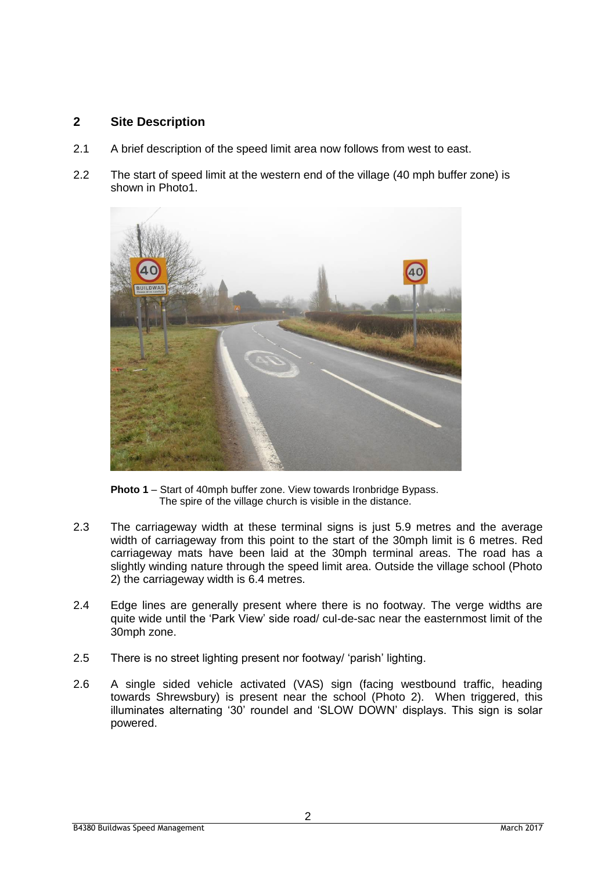## **2 Site Description**

- 2.1 A brief description of the speed limit area now follows from west to east.
- 2.2 The start of speed limit at the western end of the village (40 mph buffer zone) is shown in Photo1.



**Photo 1** – Start of 40mph buffer zone. View towards Ironbridge Bypass. The spire of the village church is visible in the distance.

- 2.3 The carriageway width at these terminal signs is just 5.9 metres and the average width of carriageway from this point to the start of the 30mph limit is 6 metres. Red carriageway mats have been laid at the 30mph terminal areas. The road has a slightly winding nature through the speed limit area. Outside the village school (Photo 2) the carriageway width is 6.4 metres.
- 2.4 Edge lines are generally present where there is no footway. The verge widths are quite wide until the 'Park View' side road/ cul-de-sac near the easternmost limit of the 30mph zone.
- 2.5 There is no street lighting present nor footway/ 'parish' lighting.
- 2.6 A single sided vehicle activated (VAS) sign (facing westbound traffic, heading towards Shrewsbury) is present near the school (Photo 2). When triggered, this illuminates alternating '30' roundel and 'SLOW DOWN' displays. This sign is solar powered.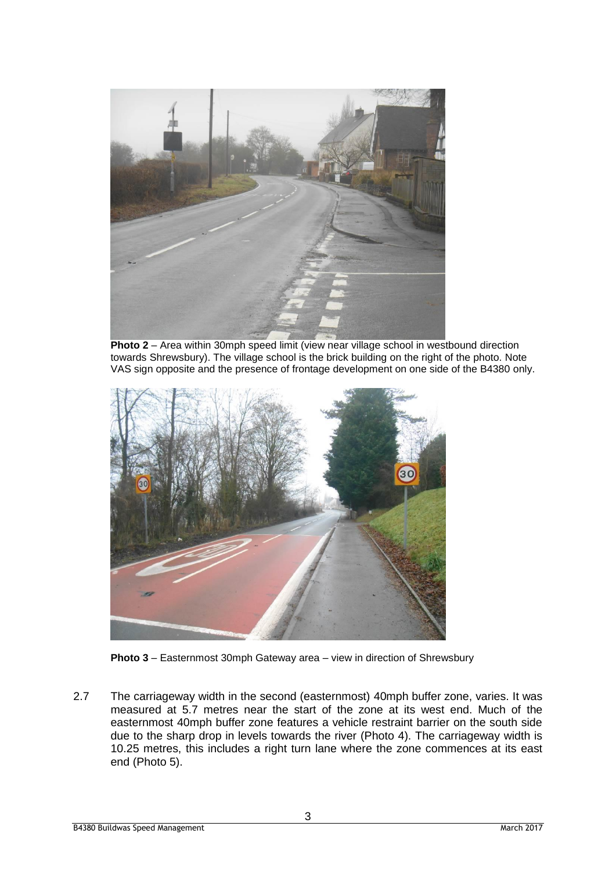

**Photo 2** – Area within 30mph speed limit (view near village school in westbound direction towards Shrewsbury). The village school is the brick building on the right of the photo. Note VAS sign opposite and the presence of frontage development on one side of the B4380 only.





2.7 The carriageway width in the second (easternmost) 40mph buffer zone, varies. It was measured at 5.7 metres near the start of the zone at its west end. Much of the easternmost 40mph buffer zone features a vehicle restraint barrier on the south side due to the sharp drop in levels towards the river (Photo 4). The carriageway width is 10.25 metres, this includes a right turn lane where the zone commences at its east end (Photo 5).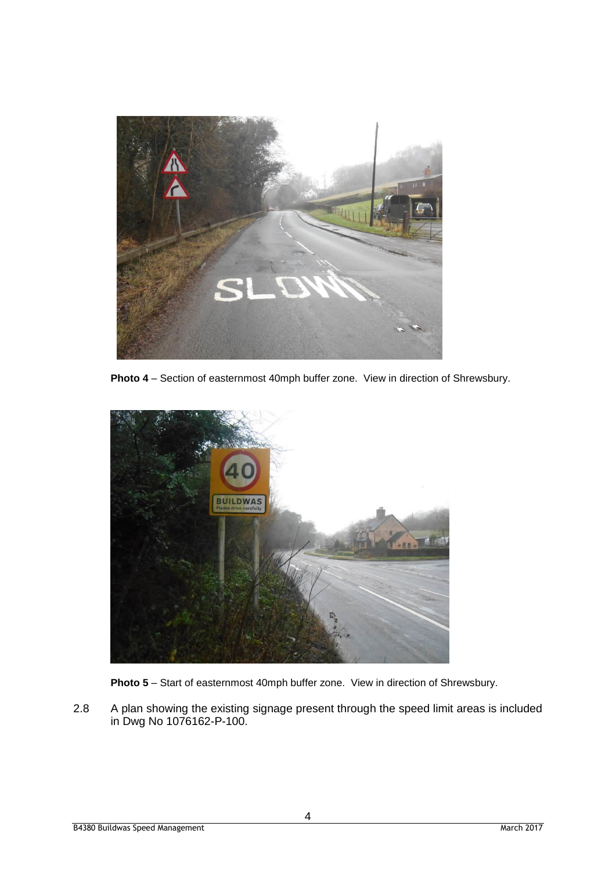

**Photo 4** – Section of easternmost 40mph buffer zone. View in direction of Shrewsbury.



**Photo 5** – Start of easternmost 40mph buffer zone. View in direction of Shrewsbury.

2.8 A plan showing the existing signage present through the speed limit areas is included in Dwg No 1076162-P-100.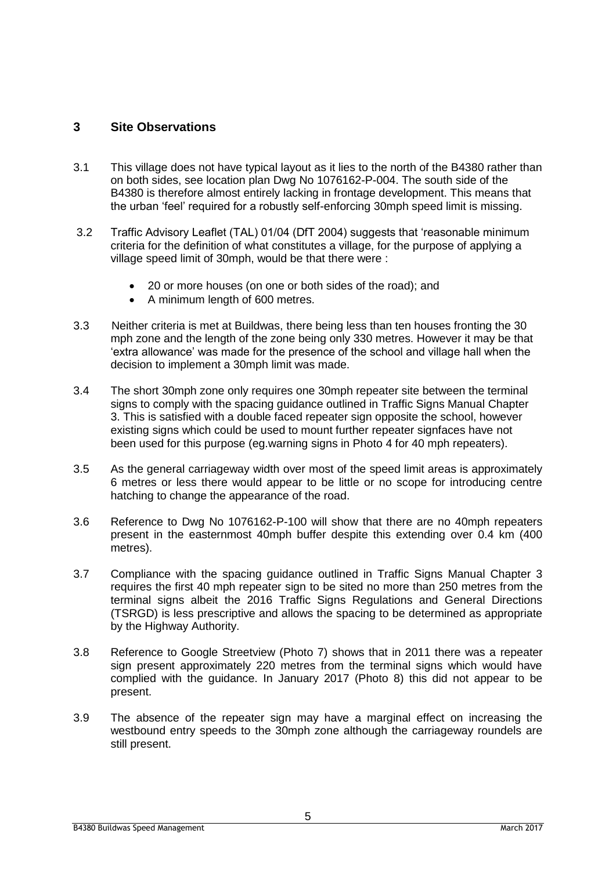## **3 Site Observations**

- 3.1 This village does not have typical layout as it lies to the north of the B4380 rather than on both sides, see location plan Dwg No 1076162-P-004. The south side of the B4380 is therefore almost entirely lacking in frontage development. This means that the urban 'feel' required for a robustly self-enforcing 30mph speed limit is missing.
- 3.2 Traffic Advisory Leaflet (TAL) 01/04 (DfT 2004) suggests that 'reasonable minimum criteria for the definition of what constitutes a village, for the purpose of applying a village speed limit of 30mph, would be that there were :
	- 20 or more houses (on one or both sides of the road); and
	- A minimum length of 600 metres.
- 3.3 Neither criteria is met at Buildwas, there being less than ten houses fronting the 30 mph zone and the length of the zone being only 330 metres. However it may be that 'extra allowance' was made for the presence of the school and village hall when the decision to implement a 30mph limit was made.
- 3.4 The short 30mph zone only requires one 30mph repeater site between the terminal signs to comply with the spacing guidance outlined in Traffic Signs Manual Chapter 3. This is satisfied with a double faced repeater sign opposite the school, however existing signs which could be used to mount further repeater signfaces have not been used for this purpose (eg.warning signs in Photo 4 for 40 mph repeaters).
- 3.5 As the general carriageway width over most of the speed limit areas is approximately 6 metres or less there would appear to be little or no scope for introducing centre hatching to change the appearance of the road.
- 3.6 Reference to Dwg No 1076162-P-100 will show that there are no 40mph repeaters present in the easternmost 40mph buffer despite this extending over 0.4 km (400 metres).
- 3.7 Compliance with the spacing guidance outlined in Traffic Signs Manual Chapter 3 requires the first 40 mph repeater sign to be sited no more than 250 metres from the terminal signs albeit the 2016 Traffic Signs Regulations and General Directions (TSRGD) is less prescriptive and allows the spacing to be determined as appropriate by the Highway Authority.
- 3.8 Reference to Google Streetview (Photo 7) shows that in 2011 there was a repeater sign present approximately 220 metres from the terminal signs which would have complied with the guidance. In January 2017 (Photo 8) this did not appear to be present.
- 3.9 The absence of the repeater sign may have a marginal effect on increasing the westbound entry speeds to the 30mph zone although the carriageway roundels are still present.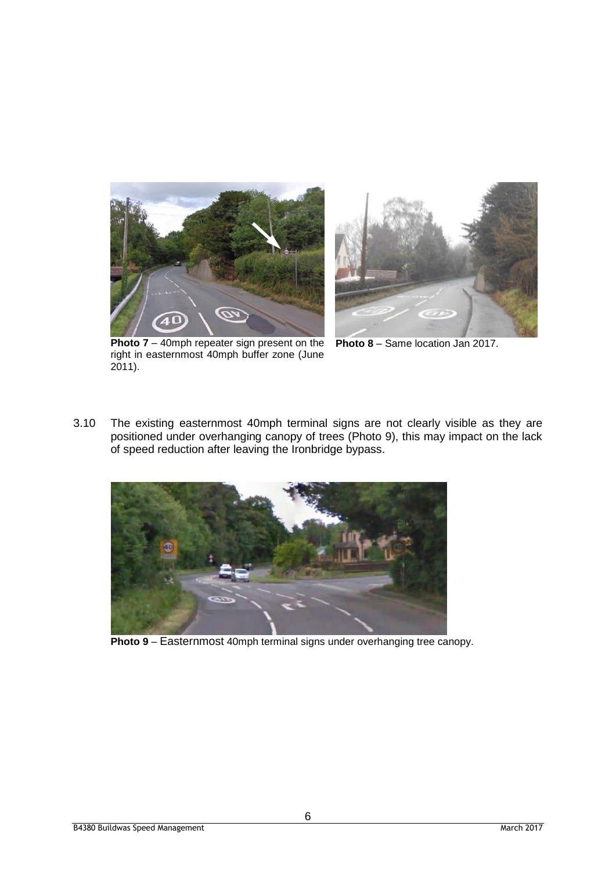



**Photo 7** – 40mph repeater sign present on the right in easternmost 40mph buffer zone (June 2011).

**Photo 8** – Same location Jan 2017.

3.10 The existing easternmost 40mph terminal signs are not clearly visible as they are positioned under overhanging canopy of trees (Photo 9), this may impact on the lack of speed reduction after leaving the Ironbridge bypass.



**Photo 9** – Easternmost 40mph terminal signs under overhanging tree canopy.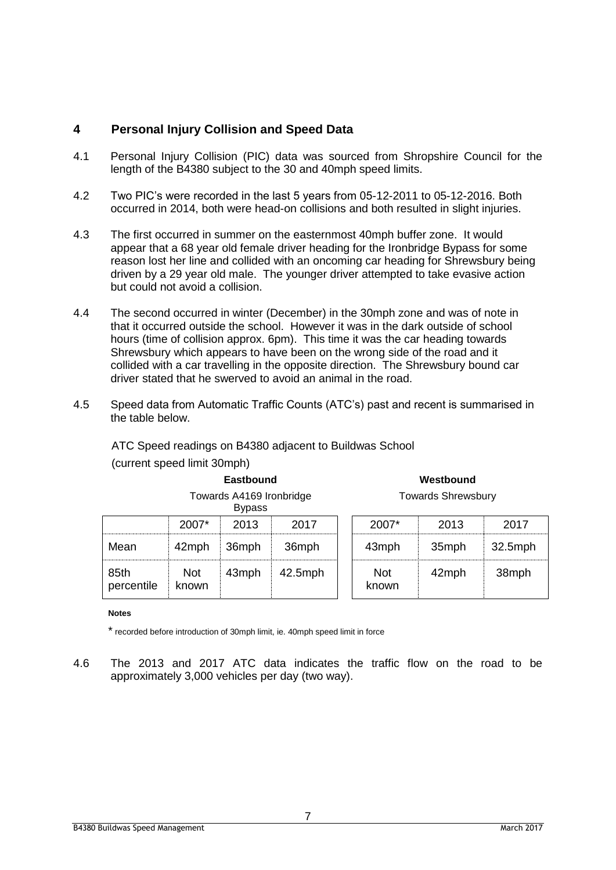# **4 Personal Injury Collision and Speed Data**

- 4.1 Personal Injury Collision (PIC) data was sourced from Shropshire Council for the length of the B4380 subject to the 30 and 40mph speed limits.
- 4.2 Two PIC's were recorded in the last 5 years from 05-12-2011 to 05-12-2016. Both occurred in 2014, both were head-on collisions and both resulted in slight injuries.
- 4.3 The first occurred in summer on the easternmost 40mph buffer zone. It would appear that a 68 year old female driver heading for the Ironbridge Bypass for some reason lost her line and collided with an oncoming car heading for Shrewsbury being driven by a 29 year old male. The younger driver attempted to take evasive action but could not avoid a collision.
- 4.4 The second occurred in winter (December) in the 30mph zone and was of note in that it occurred outside the school. However it was in the dark outside of school hours (time of collision approx. 6pm). This time it was the car heading towards Shrewsbury which appears to have been on the wrong side of the road and it collided with a car travelling in the opposite direction. The Shrewsbury bound car driver stated that he swerved to avoid an animal in the road.
- 4.5 Speed data from Automatic Traffic Counts (ATC's) past and recent is summarised in the table below.

ATC Speed readings on B4380 adjacent to Buildwas School

| Eastbound                                 |                     |       |            | Westbound                 |       |            |  |
|-------------------------------------------|---------------------|-------|------------|---------------------------|-------|------------|--|
| Towards A4169 Ironbridge<br><b>Bypass</b> |                     |       |            | <b>Towards Shrewsbury</b> |       |            |  |
|                                           | $2007*$             | 2013  | 2017       | 2007*                     | 2013  | 2017       |  |
| Mean                                      | 42mph               | 36mph | 36mph      | 43mph                     | 35mph | $32.5$ mph |  |
| 85th<br>percentile                        | <b>Not</b><br>known | 43mph | $42.5$ mph | <b>Not</b><br>known       | 42mph | 38mph      |  |

## (current speed limit 30mph)

#### **Notes**

\* recorded before introduction of 30mph limit, ie. 40mph speed limit in force

4.6 The 2013 and 2017 ATC data indicates the traffic flow on the road to be approximately 3,000 vehicles per day (two way).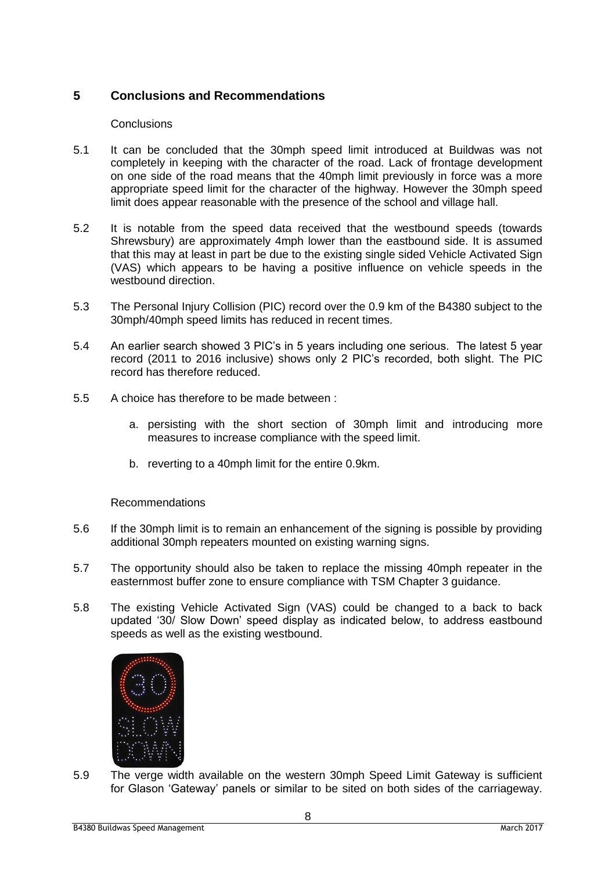# **5 Conclusions and Recommendations**

#### **Conclusions**

- 5.1 It can be concluded that the 30mph speed limit introduced at Buildwas was not completely in keeping with the character of the road. Lack of frontage development on one side of the road means that the 40mph limit previously in force was a more appropriate speed limit for the character of the highway. However the 30mph speed limit does appear reasonable with the presence of the school and village hall.
- 5.2 It is notable from the speed data received that the westbound speeds (towards Shrewsbury) are approximately 4mph lower than the eastbound side. It is assumed that this may at least in part be due to the existing single sided Vehicle Activated Sign (VAS) which appears to be having a positive influence on vehicle speeds in the westbound direction
- 5.3 The Personal Injury Collision (PIC) record over the 0.9 km of the B4380 subject to the 30mph/40mph speed limits has reduced in recent times.
- 5.4 An earlier search showed 3 PIC's in 5 years including one serious. The latest 5 year record (2011 to 2016 inclusive) shows only 2 PIC's recorded, both slight. The PIC record has therefore reduced.
- 5.5 A choice has therefore to be made between :
	- a. persisting with the short section of 30mph limit and introducing more measures to increase compliance with the speed limit.
	- b. reverting to a 40mph limit for the entire 0.9km.

Recommendations

- 5.6 If the 30mph limit is to remain an enhancement of the signing is possible by providing additional 30mph repeaters mounted on existing warning signs.
- 5.7 The opportunity should also be taken to replace the missing 40mph repeater in the easternmost buffer zone to ensure compliance with TSM Chapter 3 guidance.
- 5.8 The existing Vehicle Activated Sign (VAS) could be changed to a back to back updated '30/ Slow Down' speed display as indicated below, to address eastbound speeds as well as the existing westbound.



5.9 The verge width available on the western 30mph Speed Limit Gateway is sufficient for Glason 'Gateway' panels or similar to be sited on both sides of the carriageway.